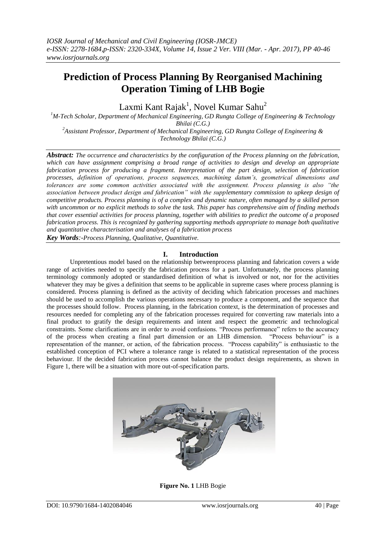# **Prediction of Process Planning By Reorganised Machining Operation Timing of LHB Bogie**

Laxmi Kant Rajak $^1$ , Novel Kumar Sahu $^2$ 

*<sup>1</sup>M-Tech Scholar, Department of Mechanical Engineering, GD Rungta College of Engineering & Technology Bhilai (C.G.)*

*<sup>2</sup>Assistant Professor, Department of Mechanical Engineering, GD Rungta College of Engineering & Technology Bhilai (C.G.)*

*Abstract: The occurrence and characteristics by the configuration of the Process planning on the fabrication, which can have assignment comprising a broad range of activities to design and develop an appropriate fabrication process for producing a fragment. Interpretation of the part design, selection of fabrication processes, definition of operations, process sequences, machining datum's, geometrical dimensions and tolerances are some common activities associated with the assignment. Process planning is also "the association between product design and fabrication" with the supplementary commission to upkeep design of competitive products. Process planning is of a complex and dynamic nature, often managed by a skilled person with uncommon or no explicit methods to solve the task. This paper has comprehensive aim of finding methods that cover essential activities for process planning, together with abilities to predict the outcome of a proposed fabrication process. This is recognized by gathering supporting methods appropriate to manage both qualitative and quantitative characterisation and analyses of a fabrication process Key Words:-Process Planning, Qualitative, Quantitative.*

## **I. Introduction**

Unpretentious model based on the relationship betweenprocess planning and fabrication covers a wide range of activities needed to specify the fabrication process for a part. Unfortunately, the process planning terminology commonly adopted or standardised definition of what is involved or not, nor for the activities whatever they may be gives a definition that seems to be applicable in supreme cases where process planning is considered. Process planning is defined as the activity of deciding which fabrication processes and machines should be used to accomplish the various operations necessary to produce a component, and the sequence that the processes should follow. Process planning, in the fabrication context, is the determination of processes and resources needed for completing any of the fabrication processes required for converting raw materials into a final product to gratify the design requirements and intent and respect the geometric and technological constraints. Some clarifications are in order to avoid confusions. "Process performance" refers to the accuracy of the process when creating a final part dimension or an LHB dimension. "Process behaviour" is a representation of the manner, or action, of the fabrication process. "Process capability" is enthusiastic to the established conception of PCI where a tolerance range is related to a statistical representation of the process behaviour. If the decided fabrication process cannot balance the product design requirements, as shown in Figure 1, there will be a situation with more out-of-specification parts.



**Figure No. 1** LHB Bogie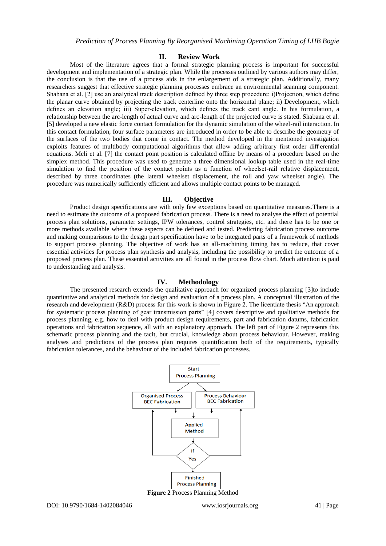#### **II. Review Work**

Most of the literature agrees that a formal strategic planning process is important for successful development and implementation of a strategic plan. While the processes outlined by various authors may differ, the conclusion is that the use of a process aids in the enlargement of a strategic plan. Additionally, many researchers suggest that effective strategic planning processes embrace an environmental scanning component. Shabana et al. [2] use an analytical track description defined by three step procedure: i)Projection, which define the planar curve obtained by projecting the track centerline onto the horizontal plane; ii) Development, which defines an elevation angle; iii) Super-elevation, which defines the track cant angle. In his formulation, a relationship between the arc-length of actual curve and arc-length of the projected curve is stated. Shabana et al. [5] developed a new elastic force contact formulation for the dynamic simulation of the wheel-rail interaction. In this contact formulation, four surface parameters are introduced in order to be able to describe the geometry of the surfaces of the two bodies that come in contact. The method developed in the mentioned investigation exploits features of multibody computational algorithms that allow adding arbitrary first order diff erential equations. Meli et al. [7] the contact point position is calculated offline by means of a procedure based on the simplex method. This procedure was used to generate a three dimensional lookup table used in the real-time simulation to find the position of the contact points as a function of wheelset-rail relative displacement, described by three coordinates (the lateral wheelset displacement, the roll and yaw wheelset angle). The procedure was numerically sufficiently efficient and allows multiple contact points to be managed.

#### **III. Objective**

Product design specifications are with only few exceptions based on quantitative measures.There is a need to estimate the outcome of a proposed fabrication process. There is a need to analyse the effect of potential process plan solutions, parameter settings, IPW tolerances, control strategies, etc. and there has to be one or more methods available where these aspects can be defined and tested. Predicting fabrication process outcome and making comparisons to the design part specification have to be integrated parts of a framework of methods to support process planning. The objective of work has an all-machining timing has to reduce, that cover essential activities for process plan synthesis and analysis, including the possibility to predict the outcome of a proposed process plan. These essential activities are all found in the process flow chart. Much attention is paid to understanding and analysis.

#### **IV. Methodology**

The presented research extends the qualitative approach for organized process planning [3]to include quantitative and analytical methods for design and evaluation of a process plan. A conceptual illustration of the research and development (R&D) process for this work is shown in Figure 2. The licentiate thesis "An approach for systematic process planning of gear transmission parts" [4] covers descriptive and qualitative methods for process planning, e.g. how to deal with product design requirements, part and fabrication datums, fabrication operations and fabrication sequence, all with an explanatory approach. The left part of Figure 2 represents this schematic process planning and the tacit, but crucial, knowledge about process behaviour. However, making analyses and predictions of the process plan requires quantification both of the requirements, typically fabrication tolerances, and the behaviour of the included fabrication processes.

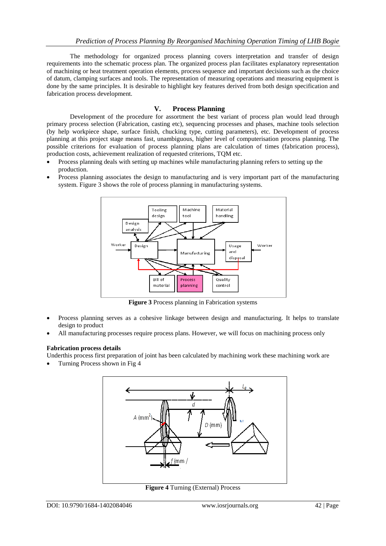The methodology for organized process planning covers interpretation and transfer of design requirements into the schematic process plan. The organized process plan facilitates explanatory representation of machining or heat treatment operation elements, process sequence and important decisions such as the choice of datum, clamping surfaces and tools. The representation of measuring operations and measuring equipment is done by the same principles. It is desirable to highlight key features derived from both design specification and fabrication process development.

### **V. Process Planning**

Development of the procedure for assortment the best variant of process plan would lead through primary process selection (Fabrication, casting etc), sequencing processes and phases, machine tools selection (by help workpiece shape, surface finish, chucking type, cutting parameters), etc. Development of process planning at this project stage means fast, unambiguous, higher level of computerisation process planning. The possible criterions for evaluation of process planning plans are calculation of times (fabrication process), production costs, achievement realization of requested criterions, TQM etc.

- Process planning deals with setting up machines while manufacturing planning refers to setting up the production.
- Process planning associates the design to manufacturing and is very important part of the manufacturing system. Figure 3 shows the role of process planning in manufacturing systems.



**Figure 3** Process planning in Fabrication systems

- Process planning serves as a cohesive linkage between design and manufacturing. It helps to translate design to product
- All manufacturing processes require process plans. However, we will focus on machining process only

#### **Fabrication process details**

Underthis process first preparation of joint has been calculated by machining work these machining work are

Turning Process shown in Fig 4



**Figure 4** Turning (External) Process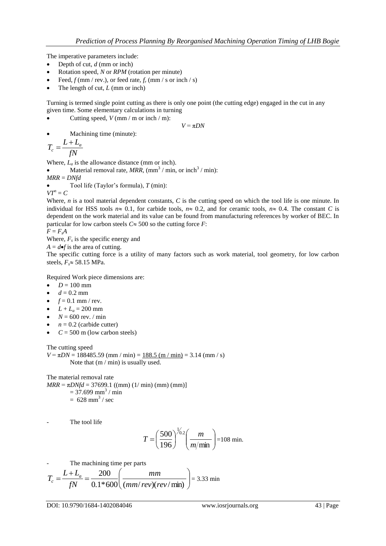The imperative parameters include:

- $\bullet$  Depth of cut, *d* (mm or inch)
- Rotation speed, *N* or *RPM* (rotation per minute)
- Feed,  $f$  (mm / rev.), or feed rate,  $f_r$  (mm / s or inch / s)
- The length of cut, *L* (mm or inch)

Turning is termed single point cutting as there is only one point (the cutting edge) engaged in the cut in any given time. Some elementary calculations in turning

• Cutting speed,  $V$  (mm / m or inch / m):

 $V = \pi DN$ 

Machining time (minute):

$$
T_c = \frac{L + L_a}{fN}
$$

Where,  $L_a$  is the allowance distance (mm or inch).

• Material removal rate,  $MRR$ ,  $\left(\text{mm}^3/\text{min}, \text{or inch}^3/\text{min}\right)$ :

*MRR* = *DNfd*

Tool life (Taylor's formula), *T* (min):

 $VT^n = C$ 

Where, *n* is a tool material dependent constants, *C* is the cutting speed on which the tool life is one minute. In individual for HSS tools  $n \approx 0.1$ , for carbide tools,  $n \approx 0.2$ , and for ceramic tools,  $n \approx 0.4$ . The constant *C* is dependent on the work material and its value can be found from manufacturing references by worker of BEC. In particular for low carbon steels  $C \approx 500$  so the cutting force *F*:

$$
F = F_s A
$$

Where,  $F_s$  is the specific energy and

 $A = d \bullet f$  is the area of cutting.

The specific cutting force is a utility of many factors such as work material, tool geometry, for low carbon steels,  $F_s \approx 58.15$  MPa.

Required Work piece dimensions are:

- $D = 100$  mm
- $d = 0.2$  mm
- $f = 0.1$  mm / rev.
- $L + L_a = 200$  mm
- $N = 600$  rev. / min
- $n = 0.2$  (carbide cutter)
- $C = 500$  m (low carbon steels)

The cutting speed

 $V = \pi DN = 188485.59$  (mm / min) = 188.5 (m / min) = 3.14 (mm / s) Note that  $(m / min)$  is usually used.

The material removal rate  $MRR = \pi D N f d = 37699.1$  ((mm) (1/ min) (mm) (mm)]  $= 37.699$  mm<sup>3</sup>/ min  $= 628$  mm<sup>3</sup> / sec

The tool life

$$
T = \left(\frac{500}{196}\right)^{1/0.2} \left(\frac{m}{m/min}\right) = 108 \text{ min.}
$$

The machining time per parts

$$
T_c = \frac{L + L_a}{fN} = \frac{200}{0.1 * 600} \left( \frac{mm}{(mm/rev)(rev/min)} \right) = 3.33 \text{ min}
$$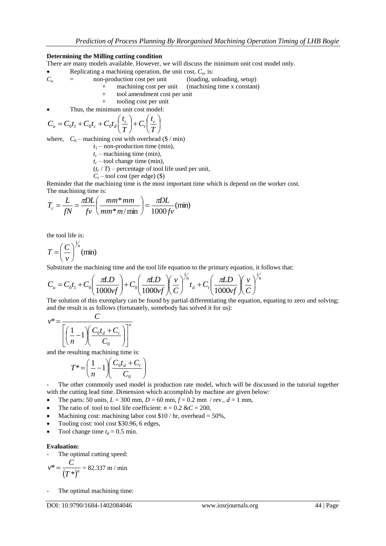#### **Determining the Milling cutting condition**

There are many models available. However, we will discuss the minimum unit cost model only.

- Replicating a machining operation, the unit cost,  $C_u$ , is:<br> $C_u$  = non-production cost per unit (loading, u
- = non-production cost per unit (loading, unloading, setup)
	- + machining cost per unit (machining time x constant)
	- + tool amendment cost per unit
	- + tooling cost per unit
- Thus, the minimum unit cost model:

$$
C_u = C_0 t_1 + C_0 t_c + C_0 t_d \left(\frac{t_c}{T}\right) + C_t \left(\frac{t_c}{T}\right)
$$

where,  $C_0$  – machining cost with overhead (\$ / min)

- $t_1$  non-production time (min),
- $t_c$  machining time (min),
- $t_c$  tool change time (min),
- $(t_c / T)$  percentage of tool life used per unit,
- $C_t$  tool cost (per edge) (\$)

Reminder that the machining time is the most important time which is depend on the worker cost. The machining time is:

$$
T_c = \frac{L}{fN} = \frac{\pi DL}{f\nu} \left( \frac{mm^* \, mm}{mm^* \, m/\, \text{min}} \right) = \frac{\pi DL}{1000 f\nu} \, (\text{min})
$$

the tool life is:

$$
T = \left(\frac{C}{v}\right)^{\frac{1}{n}} \text{(min)}
$$

Substitute the machining time and the tool life equation to the primary equation, it follows that:

Substitute the machine time and the tool life equation to the primary equation, it  
\n
$$
C_u = C_0 t_1 + C_0 \left( \frac{\pi LD}{1000 \nu f} \right) + C_0 \left( \frac{\pi LD}{1000 \nu f} \right) \left( \frac{v}{C} \right)^{\frac{1}{n}} t_d + C_1 \left( \frac{\pi LD}{1000 \nu f} \right) \left( \frac{v}{C} \right)^{\frac{1}{n}}
$$
\nThe solution of this symmetry can be found by partial differentiating the equation

The solution of this exemplary can be found by partial differentiating the equation, equating to zero and solving; and the result is as follows (fortunately, somebody has solved it for us):

$$
v^* = \frac{C}{\left[\left(\frac{1}{n} - 1\right)\left(\frac{C_0 t_d + C_t}{C_0}\right)\right]^n}
$$

and the resulting machining time is:

$$
T^* = \left(\frac{1}{n} - 1\right) \left(\frac{C_0 t_d + C_t}{C_0}\right)
$$

- The other commonly used model is production rate model, which will be discussed in the tutorial together with the cutting lead time. Dimension which accomplish by machine are given below:

- The parts: 50 units,  $L = 300$  mm,  $D = 60$  mm,  $f = 0.2$  mm / rev.,  $d = 1$  mm,
- The ratio of tool to tool life coefficient:  $n = 0.2 \& C = 200$ ,
- Machining cost: machining labor cost  $$10 / hr$ , overhead = 50%,
- Tooling cost: tool cost \$30.96, 6 edges,
- Tool change time  $t_d$  = 0.5 min.

#### **Evaluation:**

The optimal cutting speed:

$$
v^* = \frac{C}{(T^*)^n} = 82.337 \text{ m/min}
$$

The optimal machining time: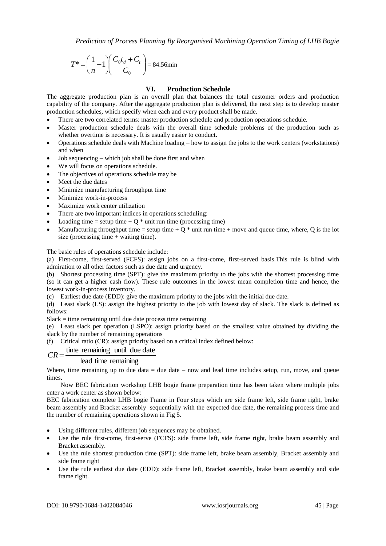$$
T^* = \left(\frac{1}{n} - 1\right) \left(\frac{C_0 t_d + C_t}{C_0}\right) = 84.56 \text{min}
$$

## **VI. Production Schedule**

The aggregate production plan is an overall plan that balances the total customer orders and production capability of the company. After the aggregate production plan is delivered, the next step is to develop master production schedules, which specify when each and every product shall be made.

- There are two correlated terms: master production schedule and production operations schedule.
- Master production schedule deals with the overall time schedule problems of the production such as whether overtime is necessary. It is usually easier to conduct.
- Operations schedule deals with Machine loading how to assign the jobs to the work centers (workstations) and when
- Job sequencing which job shall be done first and when
- We will focus on operations schedule.
- The objectives of operations schedule may be
- Meet the due dates
- Minimize manufacturing throughput time
- Minimize work-in-process
- Maximize work center utilization
- There are two important indices in operations scheduling:
- Loading time = setup time +  $Q^*$  unit run time (processing time)
- Manufacturing throughput time = setup time +  $Q^*$  unit run time + move and queue time, where, Q is the lot size (processing time  $+$  waiting time).

The basic rules of operations schedule include:

(a) First-come, first-served (FCFS): assign jobs on a first-come, first-served basis.This rule is blind with admiration to all other factors such as due date and urgency.

(b) Shortest processing time (SPT): give the maximum priority to the jobs with the shortest processing time (so it can get a higher cash flow). These rule outcomes in the lowest mean completion time and hence, the lowest work-in-process inventory.

(c) Earliest due date (EDD): give the maximum priority to the jobs with the initial due date.

(d) Least slack (LS): assign the highest priority to the job with lowest day of slack. The slack is defined as follows:

 $Slack = time remaining until due date process time remaining$ 

(e) Least slack per operation (LSPO): assign priority based on the smallest value obtained by dividing the slack by the number of remaining operations

(f) Critical ratio (CR): assign priority based on a critical index defined below:

## $CR = \frac{\text{time remaining until due date}}{}$

## lead time remaining

Where, time remaining up to due data  $=$  due date  $-$  now and lead time includes setup, run, move, and queue times.

Now BEC fabrication workshop LHB bogie frame preparation time has been taken where multiple jobs enter a work center as shown below:

BEC fabrication complete LHB bogie Frame in Four steps which are side frame left, side frame right, brake beam assembly and Bracket assembly sequentially with the expected due date, the remaining process time and the number of remaining operations shown in Fig 5.

- Using different rules, different job sequences may be obtained.
- Use the rule first-come, first-serve (FCFS): side frame left, side frame right, brake beam assembly and Bracket assembly.
- Use the rule shortest production time (SPT): side frame left, brake beam assembly, Bracket assembly and side frame right
- Use the rule earliest due date (EDD): side frame left, Bracket assembly, brake beam assembly and side frame right.